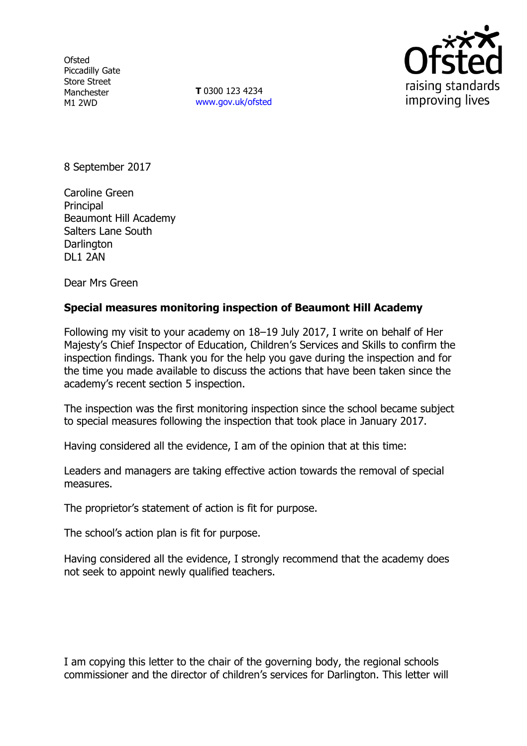**Ofsted** Piccadilly Gate Store Street Manchester M1 2WD

**T** 0300 123 4234 www.gov.uk/ofsted



8 September 2017

Caroline Green Principal Beaumont Hill Academy Salters Lane South **Darlington** DL1 2AN

Dear Mrs Green

## **Special measures monitoring inspection of Beaumont Hill Academy**

Following my visit to your academy on 18–19 July 2017, I write on behalf of Her Majesty's Chief Inspector of Education, Children's Services and Skills to confirm the inspection findings. Thank you for the help you gave during the inspection and for the time you made available to discuss the actions that have been taken since the academy's recent section 5 inspection.

The inspection was the first monitoring inspection since the school became subject to special measures following the inspection that took place in January 2017.

Having considered all the evidence, I am of the opinion that at this time:

Leaders and managers are taking effective action towards the removal of special measures.

The proprietor's statement of action is fit for purpose.

The school's action plan is fit for purpose.

Having considered all the evidence, I strongly recommend that the academy does not seek to appoint newly qualified teachers.

I am copying this letter to the chair of the governing body, the regional schools commissioner and the director of children's services for Darlington. This letter will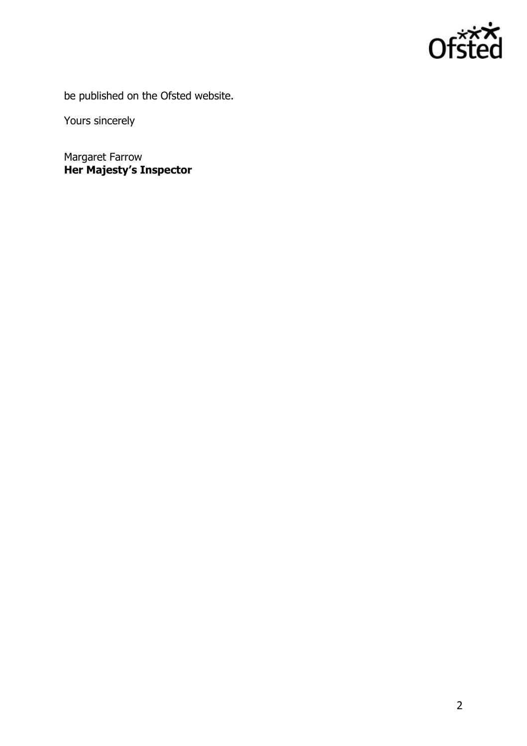

be published on the Ofsted website.

Yours sincerely

Margaret Farrow **Her Majesty's Inspector**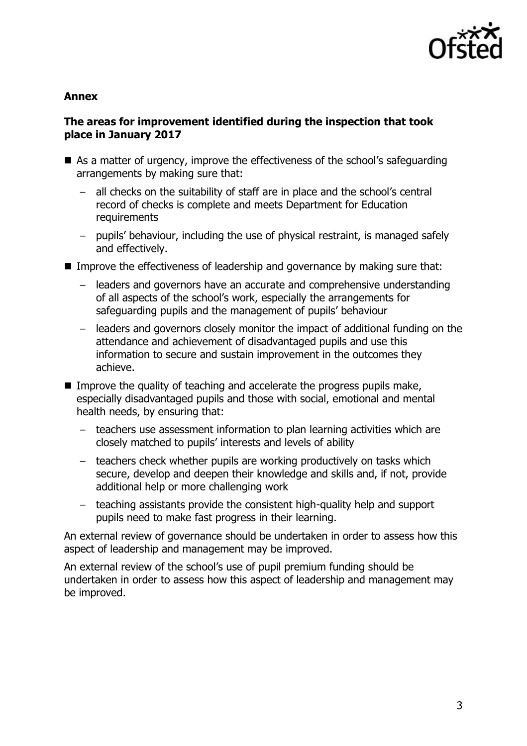

#### **Annex**

## **The areas for improvement identified during the inspection that took place in January 2017**

- As a matter of urgency, improve the effectiveness of the school's safeguarding arrangements by making sure that:
	- all checks on the suitability of staff are in place and the school's central record of checks is complete and meets Department for Education requirements
	- pupils' behaviour, including the use of physical restraint, is managed safely and effectively.
- Improve the effectiveness of leadership and governance by making sure that:
	- leaders and governors have an accurate and comprehensive understanding of all aspects of the school's work, especially the arrangements for safeguarding pupils and the management of pupils' behaviour
	- leaders and governors closely monitor the impact of additional funding on the attendance and achievement of disadvantaged pupils and use this information to secure and sustain improvement in the outcomes they achieve.
- Improve the quality of teaching and accelerate the progress pupils make, especially disadvantaged pupils and those with social, emotional and mental health needs, by ensuring that:
	- teachers use assessment information to plan learning activities which are closely matched to pupils' interests and levels of ability
	- teachers check whether pupils are working productively on tasks which secure, develop and deepen their knowledge and skills and, if not, provide additional help or more challenging work
	- teaching assistants provide the consistent high-quality help and support pupils need to make fast progress in their learning.

An external review of governance should be undertaken in order to assess how this aspect of leadership and management may be improved.

An external review of the school's use of pupil premium funding should be undertaken in order to assess how this aspect of leadership and management may be improved.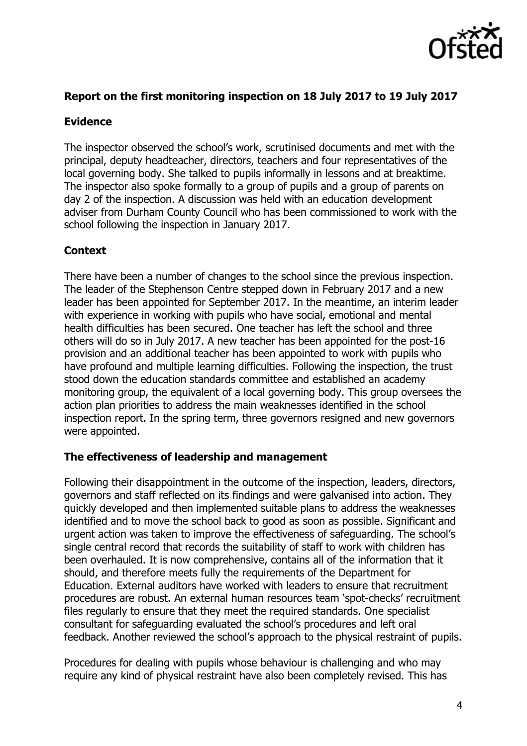

## **Report on the first monitoring inspection on 18 July 2017 to 19 July 2017**

## **Evidence**

The inspector observed the school's work, scrutinised documents and met with the principal, deputy headteacher, directors, teachers and four representatives of the local governing body. She talked to pupils informally in lessons and at breaktime. The inspector also spoke formally to a group of pupils and a group of parents on day 2 of the inspection. A discussion was held with an education development adviser from Durham County Council who has been commissioned to work with the school following the inspection in January 2017.

# **Context**

There have been a number of changes to the school since the previous inspection. The leader of the Stephenson Centre stepped down in February 2017 and a new leader has been appointed for September 2017. In the meantime, an interim leader with experience in working with pupils who have social, emotional and mental health difficulties has been secured. One teacher has left the school and three others will do so in July 2017. A new teacher has been appointed for the post-16 provision and an additional teacher has been appointed to work with pupils who have profound and multiple learning difficulties. Following the inspection, the trust stood down the education standards committee and established an academy monitoring group, the equivalent of a local governing body. This group oversees the action plan priorities to address the main weaknesses identified in the school inspection report. In the spring term, three governors resigned and new governors were appointed.

## **The effectiveness of leadership and management**

Following their disappointment in the outcome of the inspection, leaders, directors, governors and staff reflected on its findings and were galvanised into action. They quickly developed and then implemented suitable plans to address the weaknesses identified and to move the school back to good as soon as possible. Significant and urgent action was taken to improve the effectiveness of safeguarding. The school's single central record that records the suitability of staff to work with children has been overhauled. It is now comprehensive, contains all of the information that it should, and therefore meets fully the requirements of the Department for Education. External auditors have worked with leaders to ensure that recruitment procedures are robust. An external human resources team 'spot-checks' recruitment files regularly to ensure that they meet the required standards. One specialist consultant for safeguarding evaluated the school's procedures and left oral feedback. Another reviewed the school's approach to the physical restraint of pupils.

Procedures for dealing with pupils whose behaviour is challenging and who may require any kind of physical restraint have also been completely revised. This has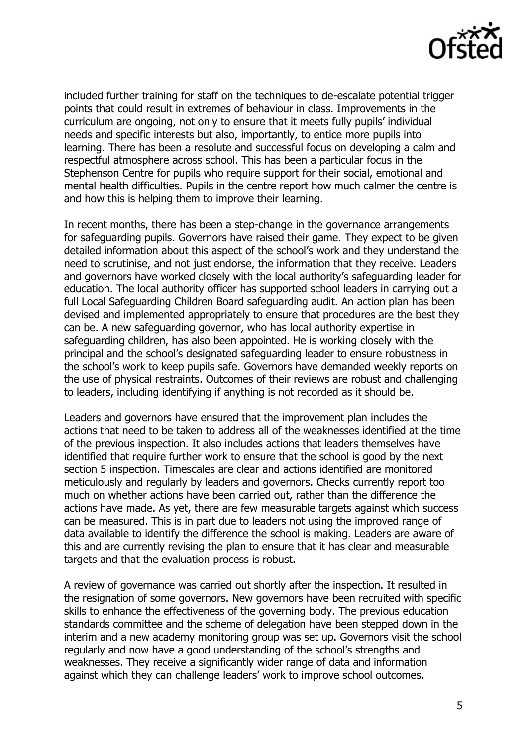

included further training for staff on the techniques to de-escalate potential trigger points that could result in extremes of behaviour in class. Improvements in the curriculum are ongoing, not only to ensure that it meets fully pupils' individual needs and specific interests but also, importantly, to entice more pupils into learning. There has been a resolute and successful focus on developing a calm and respectful atmosphere across school. This has been a particular focus in the Stephenson Centre for pupils who require support for their social, emotional and mental health difficulties. Pupils in the centre report how much calmer the centre is and how this is helping them to improve their learning.

In recent months, there has been a step-change in the governance arrangements for safeguarding pupils. Governors have raised their game. They expect to be given detailed information about this aspect of the school's work and they understand the need to scrutinise, and not just endorse, the information that they receive. Leaders and governors have worked closely with the local authority's safeguarding leader for education. The local authority officer has supported school leaders in carrying out a full Local Safeguarding Children Board safeguarding audit. An action plan has been devised and implemented appropriately to ensure that procedures are the best they can be. A new safeguarding governor, who has local authority expertise in safeguarding children, has also been appointed. He is working closely with the principal and the school's designated safeguarding leader to ensure robustness in the school's work to keep pupils safe. Governors have demanded weekly reports on the use of physical restraints. Outcomes of their reviews are robust and challenging to leaders, including identifying if anything is not recorded as it should be.

Leaders and governors have ensured that the improvement plan includes the actions that need to be taken to address all of the weaknesses identified at the time of the previous inspection. It also includes actions that leaders themselves have identified that require further work to ensure that the school is good by the next section 5 inspection. Timescales are clear and actions identified are monitored meticulously and regularly by leaders and governors. Checks currently report too much on whether actions have been carried out, rather than the difference the actions have made. As yet, there are few measurable targets against which success can be measured. This is in part due to leaders not using the improved range of data available to identify the difference the school is making. Leaders are aware of this and are currently revising the plan to ensure that it has clear and measurable targets and that the evaluation process is robust.

A review of governance was carried out shortly after the inspection. It resulted in the resignation of some governors. New governors have been recruited with specific skills to enhance the effectiveness of the governing body. The previous education standards committee and the scheme of delegation have been stepped down in the interim and a new academy monitoring group was set up. Governors visit the school regularly and now have a good understanding of the school's strengths and weaknesses. They receive a significantly wider range of data and information against which they can challenge leaders' work to improve school outcomes.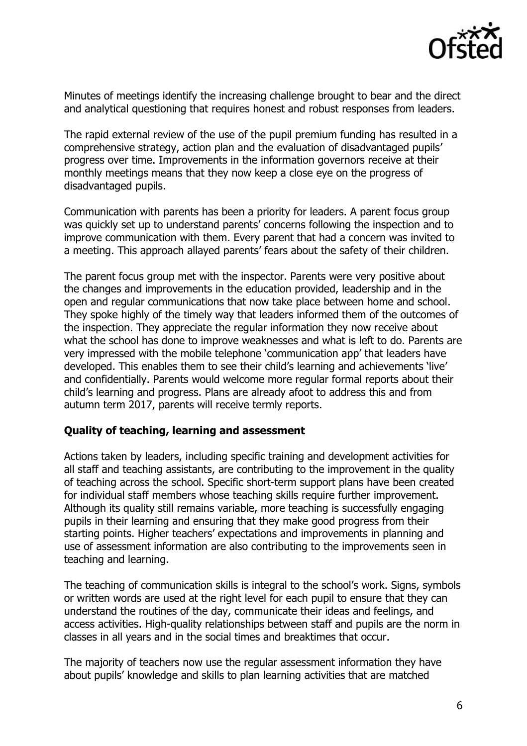

Minutes of meetings identify the increasing challenge brought to bear and the direct and analytical questioning that requires honest and robust responses from leaders.

The rapid external review of the use of the pupil premium funding has resulted in a comprehensive strategy, action plan and the evaluation of disadvantaged pupils' progress over time. Improvements in the information governors receive at their monthly meetings means that they now keep a close eye on the progress of disadvantaged pupils.

Communication with parents has been a priority for leaders. A parent focus group was quickly set up to understand parents' concerns following the inspection and to improve communication with them. Every parent that had a concern was invited to a meeting. This approach allayed parents' fears about the safety of their children.

The parent focus group met with the inspector. Parents were very positive about the changes and improvements in the education provided, leadership and in the open and regular communications that now take place between home and school. They spoke highly of the timely way that leaders informed them of the outcomes of the inspection. They appreciate the regular information they now receive about what the school has done to improve weaknesses and what is left to do. Parents are very impressed with the mobile telephone 'communication app' that leaders have developed. This enables them to see their child's learning and achievements 'live' and confidentially. Parents would welcome more regular formal reports about their child's learning and progress. Plans are already afoot to address this and from autumn term 2017, parents will receive termly reports.

## **Quality of teaching, learning and assessment**

Actions taken by leaders, including specific training and development activities for all staff and teaching assistants, are contributing to the improvement in the quality of teaching across the school. Specific short-term support plans have been created for individual staff members whose teaching skills require further improvement. Although its quality still remains variable, more teaching is successfully engaging pupils in their learning and ensuring that they make good progress from their starting points. Higher teachers' expectations and improvements in planning and use of assessment information are also contributing to the improvements seen in teaching and learning.

The teaching of communication skills is integral to the school's work. Signs, symbols or written words are used at the right level for each pupil to ensure that they can understand the routines of the day, communicate their ideas and feelings, and access activities. High-quality relationships between staff and pupils are the norm in classes in all years and in the social times and breaktimes that occur.

The majority of teachers now use the regular assessment information they have about pupils' knowledge and skills to plan learning activities that are matched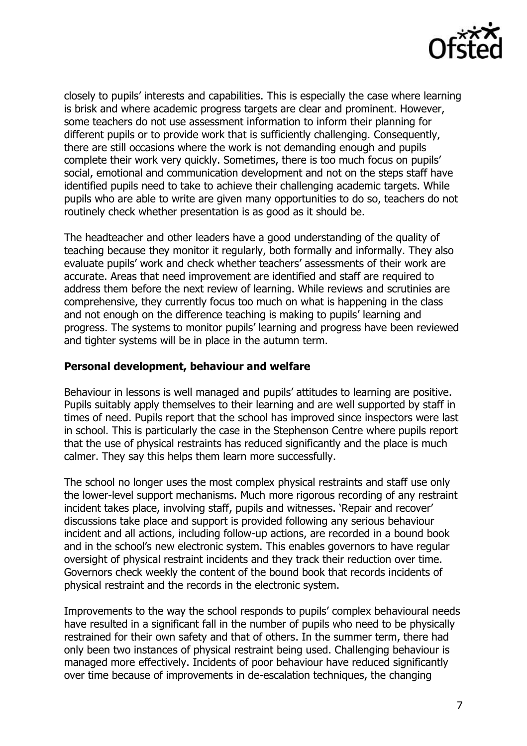

closely to pupils' interests and capabilities. This is especially the case where learning is brisk and where academic progress targets are clear and prominent. However, some teachers do not use assessment information to inform their planning for different pupils or to provide work that is sufficiently challenging. Consequently, there are still occasions where the work is not demanding enough and pupils complete their work very quickly. Sometimes, there is too much focus on pupils' social, emotional and communication development and not on the steps staff have identified pupils need to take to achieve their challenging academic targets. While pupils who are able to write are given many opportunities to do so, teachers do not routinely check whether presentation is as good as it should be.

The headteacher and other leaders have a good understanding of the quality of teaching because they monitor it regularly, both formally and informally. They also evaluate pupils' work and check whether teachers' assessments of their work are accurate. Areas that need improvement are identified and staff are required to address them before the next review of learning. While reviews and scrutinies are comprehensive, they currently focus too much on what is happening in the class and not enough on the difference teaching is making to pupils' learning and progress. The systems to monitor pupils' learning and progress have been reviewed and tighter systems will be in place in the autumn term.

#### **Personal development, behaviour and welfare**

Behaviour in lessons is well managed and pupils' attitudes to learning are positive. Pupils suitably apply themselves to their learning and are well supported by staff in times of need. Pupils report that the school has improved since inspectors were last in school. This is particularly the case in the Stephenson Centre where pupils report that the use of physical restraints has reduced significantly and the place is much calmer. They say this helps them learn more successfully.

The school no longer uses the most complex physical restraints and staff use only the lower-level support mechanisms. Much more rigorous recording of any restraint incident takes place, involving staff, pupils and witnesses. 'Repair and recover' discussions take place and support is provided following any serious behaviour incident and all actions, including follow-up actions, are recorded in a bound book and in the school's new electronic system. This enables governors to have regular oversight of physical restraint incidents and they track their reduction over time. Governors check weekly the content of the bound book that records incidents of physical restraint and the records in the electronic system.

Improvements to the way the school responds to pupils' complex behavioural needs have resulted in a significant fall in the number of pupils who need to be physically restrained for their own safety and that of others. In the summer term, there had only been two instances of physical restraint being used. Challenging behaviour is managed more effectively. Incidents of poor behaviour have reduced significantly over time because of improvements in de-escalation techniques, the changing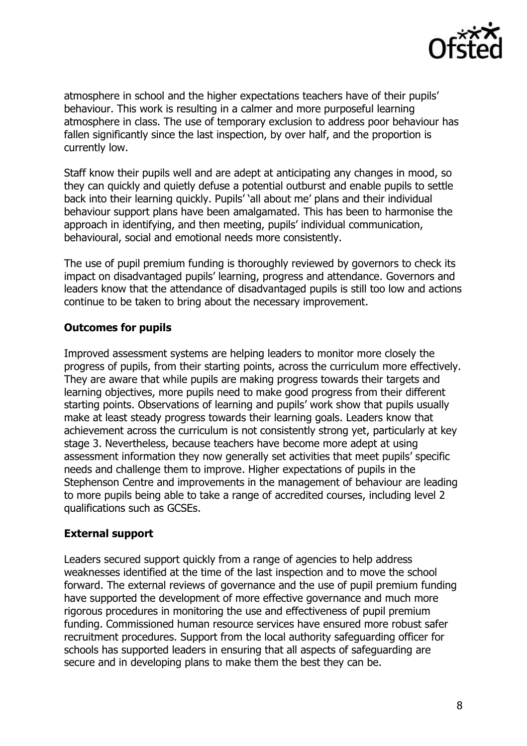

atmosphere in school and the higher expectations teachers have of their pupils' behaviour. This work is resulting in a calmer and more purposeful learning atmosphere in class. The use of temporary exclusion to address poor behaviour has fallen significantly since the last inspection, by over half, and the proportion is currently low.

Staff know their pupils well and are adept at anticipating any changes in mood, so they can quickly and quietly defuse a potential outburst and enable pupils to settle back into their learning quickly. Pupils' 'all about me' plans and their individual behaviour support plans have been amalgamated. This has been to harmonise the approach in identifying, and then meeting, pupils' individual communication, behavioural, social and emotional needs more consistently.

The use of pupil premium funding is thoroughly reviewed by governors to check its impact on disadvantaged pupils' learning, progress and attendance. Governors and leaders know that the attendance of disadvantaged pupils is still too low and actions continue to be taken to bring about the necessary improvement.

## **Outcomes for pupils**

Improved assessment systems are helping leaders to monitor more closely the progress of pupils, from their starting points, across the curriculum more effectively. They are aware that while pupils are making progress towards their targets and learning objectives, more pupils need to make good progress from their different starting points. Observations of learning and pupils' work show that pupils usually make at least steady progress towards their learning goals. Leaders know that achievement across the curriculum is not consistently strong yet, particularly at key stage 3. Nevertheless, because teachers have become more adept at using assessment information they now generally set activities that meet pupils' specific needs and challenge them to improve. Higher expectations of pupils in the Stephenson Centre and improvements in the management of behaviour are leading to more pupils being able to take a range of accredited courses, including level 2 qualifications such as GCSEs.

## **External support**

Leaders secured support quickly from a range of agencies to help address weaknesses identified at the time of the last inspection and to move the school forward. The external reviews of governance and the use of pupil premium funding have supported the development of more effective governance and much more rigorous procedures in monitoring the use and effectiveness of pupil premium funding. Commissioned human resource services have ensured more robust safer recruitment procedures. Support from the local authority safeguarding officer for schools has supported leaders in ensuring that all aspects of safeguarding are secure and in developing plans to make them the best they can be.